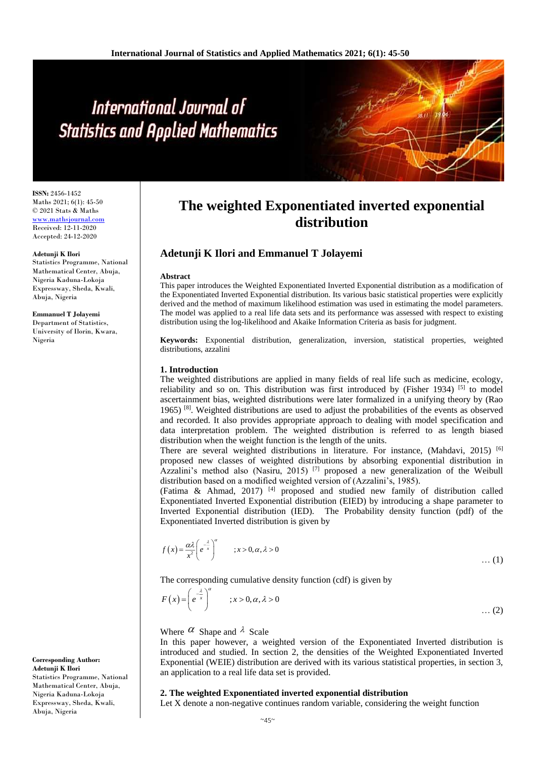# International Journal of **Statistics and Applied Mathematics**

**ISSN:** 2456-1452 Maths 2021; 6(1): 45-50 © 2021 Stats & Maths <www.mathsjournal.com> Received: 12-11-2020 Accepted: 24-12-2020

#### **Adetunji K Ilori**

Statistics Programme, National Mathematical Center, Abuja, Nigeria Kaduna-Lokoja Expressway, Sheda, Kwali, Abuja, Nigeria

## **Emmanuel T Jolayemi**

Department of Statistics, University of Ilorin, Kwara, Nigeria

## **Corresponding Author: Adetunji K Ilori**

Statistics Programme, National Mathematical Center, Abuja, Nigeria Kaduna-Lokoja Expressway, Sheda, Kwali, Abuja, Nigeria

## **The weighted Exponentiated inverted exponential distribution**

## **Adetunji K Ilori and Emmanuel T Jolayemi**

#### **Abstract**

This paper introduces the Weighted Exponentiated Inverted Exponential distribution as a modification of the Exponentiated Inverted Exponential distribution. Its various basic statistical properties were explicitly derived and the method of maximum likelihood estimation was used in estimating the model parameters. The model was applied to a real life data sets and its performance was assessed with respect to existing distribution using the log-likelihood and Akaike Information Criteria as basis for judgment.

**Keywords:** Exponential distribution, generalization, inversion, statistical properties, weighted distributions, azzalini

## **1. Introduction**

The weighted distributions are applied in many fields of real life such as medicine, ecology, reliability and so on. This distribution was first introduced by (Fisher 1934) [5] to model ascertainment bias, weighted distributions were later formalized in a unifying theory by (Rao 1965) [8]. Weighted distributions are used to adjust the probabilities of the events as observed and recorded. It also provides appropriate approach to dealing with model specification and data interpretation problem. The weighted distribution is referred to as length biased distribution when the weight function is the length of the units.

There are several weighted distributions in literature. For instance, (Mahdavi, 2015) <sup>[6]</sup> proposed new classes of weighted distributions by absorbing exponential distribution in Azzalini's method also (Nasiru, 2015)<sup>[7]</sup> proposed a new generalization of the Weibull distribution based on a modified weighted version of (Azzalini's, 1985).

(Fatima & Ahmad, 2017) [4] proposed and studied new family of distribution called Exponentiated Inverted Exponential distribution (EIED) by introducing a shape parameter to Inverted Exponential distribution (IED). The Probability density function (pdf) of the Exponentiated Inverted distribution is given by

$$
f(x) = \frac{\alpha \lambda}{x^2} \left( e^{-\frac{\lambda}{x}} \right)^{\alpha} \qquad ; x > 0, \alpha, \lambda > 0 \qquad \qquad \dots (1)
$$

The corresponding cumulative density function (cdf) is given by

$$
F(x) = \left(e^{\frac{-\lambda}{x}}\right)^{\alpha} \qquad ; x > 0, \alpha, \lambda > 0 \qquad \qquad \dots (2)
$$

## Where  $\alpha$  Shape and  $\lambda$  Scale

In this paper however, a weighted version of the Exponentiated Inverted distribution is introduced and studied. In section 2, the densities of the Weighted Exponentiated Inverted Exponential (WEIE) distribution are derived with its various statistical properties, in section 3, an application to a real life data set is provided.

## **2. The weighted Exponentiated inverted exponential distribution**

Let X denote a non-negative continues random variable, considering the weight function

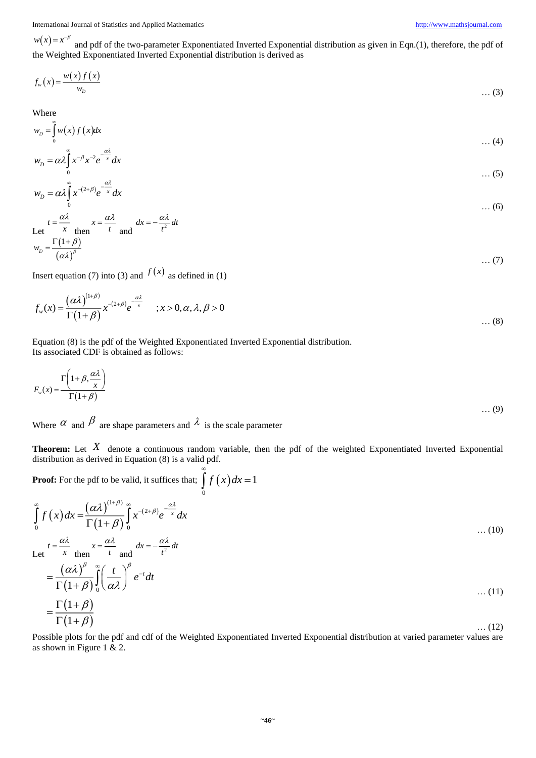International Journal of Statistics and Applied Mathematics [http://www.mathsjournal.com](http://www.mathsjournal.com/)

 $w(x) = x^{-\beta}$  and pdf of the two-parameter Exponentiated Inverted Exponential distribution as given in Eqn.(1), therefore, the pdf of the Weighted Exponentiated Inverted Exponential distribution is derived as

$$
f_w(x) = \frac{w(x)f(x)}{w_D}
$$
 ... (3)

Where

$$
w_D = \int_0^\infty w(x) f(x) dx \qquad \qquad \dots (4)
$$

$$
w_D = \alpha \lambda \int_0^\infty x^{-\beta} x^{-2} e^{-\frac{\alpha \lambda}{x}} dx \tag{5}
$$

$$
w_D = \alpha \lambda \int_0^{\infty} x^{-(2+\beta)} e^{-\frac{\alpha \lambda}{x}} dx
$$
 ... (6)  
 
$$
\alpha \lambda \qquad \alpha \lambda
$$

Let 
$$
t = \frac{\alpha \lambda}{x}
$$
 then  $x = \frac{\alpha \lambda}{t}$  and  $dx = -\frac{\alpha \lambda}{t^2} dt$   
\n $w_D = \frac{\Gamma(1+\beta)}{(\alpha \lambda)^{\beta}}$  ... (7)

Insert equation (7) into (3) and  $f(x)$  as defined in (1)

$$
f_{w}(x) = \frac{(\alpha \lambda)^{(1+\beta)}}{\Gamma(1+\beta)} x^{-(2+\beta)} e^{-\frac{\alpha \lambda}{x}} \qquad ; x > 0, \alpha, \lambda, \beta > 0 \qquad \dots (8)
$$

Equation (8) is the pdf of the Weighted Exponentiated Inverted Exponential distribution. Its associated CDF is obtained as follows:

$$
F_w(x) = \frac{\Gamma\left(1+\beta, \frac{\alpha \lambda}{x}\right)}{\Gamma\left(1+\beta\right)}
$$
...(9)

Where  $\alpha$  and  $\beta$  are shape parameters and  $\lambda$  is the scale parameter

**Theorem:** Let X denote a continuous random variable, then the pdf of the weighted Exponentiated Inverted Exponential distribution as derived in Equation (8) is a valid pdf.

**Proof:** For the pdf to be valid, it suffices that;  $\int f(x) dx = 1$ 0 ∝  $\int f(x)dx =$ 

$$
\int_{0}^{\infty} f(x) dx = \frac{(\alpha \lambda)^{(1+\beta)}}{\Gamma(1+\beta)} \int_{0}^{\infty} x^{-(2+\beta)} e^{-\frac{\alpha \lambda}{x}} dx
$$
\n... (10)  
\nLet  $t = \frac{\alpha \lambda}{x}$  then  $x = \frac{\alpha \lambda}{t}$  and  $dx = -\frac{\alpha \lambda}{t^2} dt$   
\n $= \frac{(\alpha \lambda)^{\beta}}{\Gamma(1+\beta)} \int_{0}^{\infty} \left(\frac{t}{\alpha \lambda}\right)^{\beta} e^{-t} dt$   
\n... (11)  
\n $= \frac{\Gamma(1+\beta)}{\Gamma(1+\beta)}$  ... (12)

Possible plots for the pdf and cdf of the Weighted Exponentiated Inverted Exponential distribution at varied parameter values are as shown in Figure 1 & 2.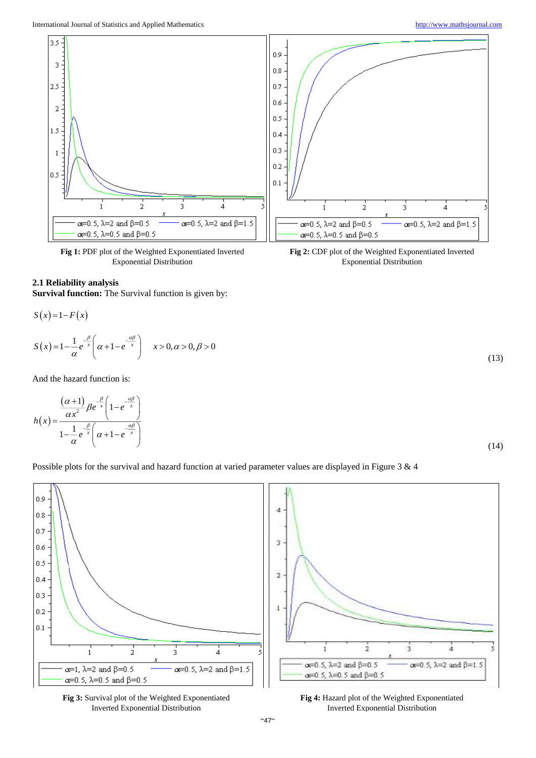

**Fig 1:** PDF plot of the Weighted Exponentiated Inverted Exponential Distribution

## **2.1 Reliability analysis**

**Survival function:** The Survival function is given by:

$$
S(x)=1-F(x)
$$
  

$$
S(x)=1-\frac{1}{\alpha}e^{-\frac{\beta}{x}}\left(\alpha+1-e^{-\frac{\alpha\beta}{x}}\right) \qquad x>0, \alpha>0, \beta>0
$$

And the hazard function is:

$$
h(x) = \frac{\frac{(\alpha+1)}{\alpha x^2} \beta e^{-\frac{\beta}{x}} \left(1 - e^{-\frac{\alpha \beta}{x}}\right)}{1 - \frac{1}{\alpha} e^{-\frac{\beta}{x}} \left(\alpha + 1 - e^{-\frac{\alpha \beta}{x}}\right)}
$$

**Fig 2:** CDF plot of the Weighted Exponentiated Inverted Exponential Distribution

(14)

(13)

Possible plots for the survival and hazard function at varied parameter values are displayed in Figure 3 & 4





**Fig 4:** Hazard plot of the Weighted Exponentiated Inverted Exponential Distribution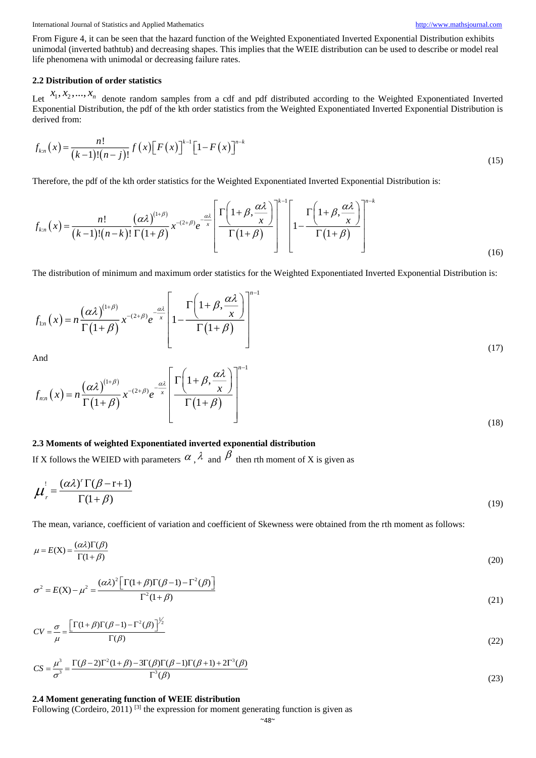International Journal of Statistics and Applied Mathematics [http://www.mathsjournal.com](http://www.mathsjournal.com/)

From Figure 4, it can be seen that the hazard function of the Weighted Exponentiated Inverted Exponential Distribution exhibits unimodal (inverted bathtub) and decreasing shapes. This implies that the WEIE distribution can be used to describe or model real life phenomena with unimodal or decreasing failure rates.

## **2.2 Distribution of order statistics**

Let  $x_1, x_2, ..., x_n$  denote random samples from a cdf and pdf distributed according to the Weighted Exponentiated Inverted Exponential Distribution, the pdf of the kth order statistics from the Weighted Exponentiated Inverted Exponential Distribution is derived from:

$$
f_{k:n}(x) = \frac{n!}{(k-1)!(n-j)!} f(x) \left[ F(x) \right]^{k-1} \left[ 1 - F(x) \right]^{n-k}
$$
\n(15)

Therefore, the pdf of the kth order statistics for the Weighted Exponentiated Inverted Exponential Distribution is:

$$
f_{k,n}(x) = \frac{n!}{(k-1)!(n-k)!} \frac{(\alpha \lambda)^{(1+\beta)}}{\Gamma(1+\beta)} x^{-(2+\beta)} e^{-\frac{\alpha \lambda}{x}} \left[ \frac{\Gamma\left(1+\beta, \frac{\alpha \lambda}{x}\right)}{\Gamma(1+\beta)} \right]^{k-1} \left[ 1 - \frac{\Gamma\left(1+\beta, \frac{\alpha \lambda}{x}\right)}{\Gamma(1+\beta)} \right]^{n-k} \tag{16}
$$

The distribution of minimum and maximum order statistics for the Weighted Exponentiated Inverted Exponential Distribution is:

$$
f_{1:n}(x) = n \frac{(\alpha \lambda)^{(1+\beta)}}{\Gamma(1+\beta)} x^{-(2+\beta)} e^{-\frac{\alpha \lambda}{x}} \left[ 1 - \frac{\Gamma\left(1+\beta, \frac{\alpha \lambda}{x}\right)}{\Gamma(1+\beta)} \right]^{n-1}
$$
\n(17)

And

$$
f_{n:n}(x) = n \frac{(\alpha \lambda)^{(1+\beta)}}{\Gamma(1+\beta)} x^{-(2+\beta)} e^{-\frac{\alpha \lambda}{x}} \left[ \frac{\Gamma\left(1+\beta, \frac{\alpha \lambda}{x}\right)}{\Gamma(1+\beta)} \right]^{n-1}
$$
\n(18)

## **2.3 Moments of weighted Exponentiated inverted exponential distribution**

If X follows the WEIED with parameters  $\alpha$ ,  $\lambda$  and  $\beta$  then rth moment of X is given as

$$
\mu_r' = \frac{(\alpha \lambda)^r \Gamma(\beta - r + 1)}{\Gamma(1 + \beta)}
$$
(19)

The mean, variance, coefficient of variation and coefficient of Skewness were obtained from the rth moment as follows:

$$
\mu = E(X) = \frac{(\alpha \lambda)\Gamma(\beta)}{\Gamma(1+\beta)}\tag{20}
$$

$$
\sigma^2 = E(X) - \mu^2 = \frac{(\alpha \lambda)^2 \left[ \Gamma(1 + \beta) \Gamma(\beta - 1) - \Gamma^2(\beta) \right]}{\Gamma^2(1 + \beta)}
$$
\n(21)

$$
CV = \frac{\sigma}{\mu} = \frac{\left[\Gamma(1+\beta)\Gamma(\beta-1) - \Gamma^2(\beta)\right]^{1/2}}{\Gamma(\beta)}
$$
\n(22)

$$
CS = \frac{\mu^3}{\sigma^3} = \frac{\Gamma(\beta - 2)\Gamma^2(1 + \beta) - 3\Gamma(\beta)\Gamma(\beta - 1)\Gamma(\beta + 1) + 2\Gamma^3(\beta)}{\Gamma^3(\beta)}
$$
\n(23)

## **2.4 Moment generating function of WEIE distribution**

Following (Cordeiro, 2011)  $^{[3]}$  the expression for moment generating function is given as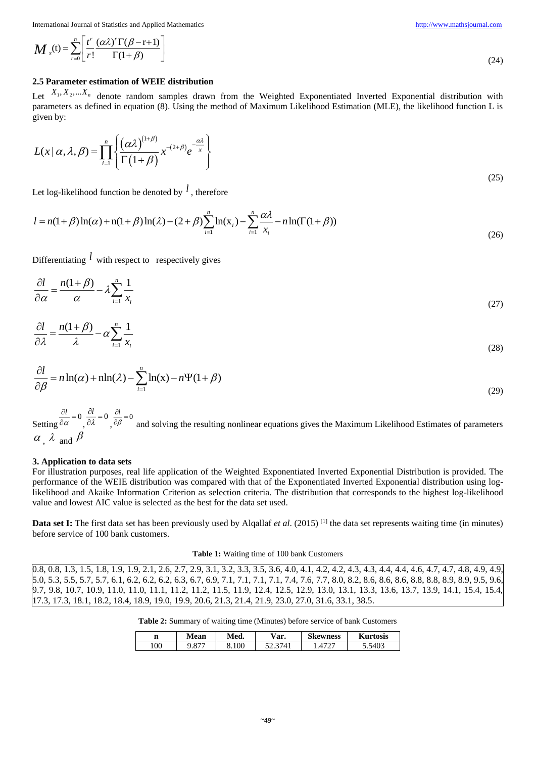International Journal of Statistics and Applied Mathematics [http://www.mathsjournal.com](http://www.mathsjournal.com/)

$$
\boldsymbol{M}_{x}(t) = \sum_{r=0}^{n} \left[ \frac{t^{r}}{r!} \frac{(\alpha \lambda)^{r} \Gamma(\beta - r + 1)}{\Gamma(1 + \beta)} \right]
$$

## **2.5 Parameter estimation of WEIE distribution**

Let  $X_1, X_2, \ldots, X_n$  denote random samples drawn from the Weighted Exponentiated Inverted Exponential distribution with parameters as defined in equation (8). Using the method of Maximum Likelihood Estimation (MLE), the likelihood function L is given by:

$$
L(x \mid \alpha, \lambda, \beta) = \prod_{i=1}^{n} \left\{ \frac{(\alpha \lambda)^{(1+\beta)}}{\Gamma(1+\beta)} x^{-(2+\beta)} e^{-\frac{\alpha \lambda}{x}} \right\}
$$

Let log-likelihood function be denoted by <sup>1</sup>, therefore

$$
l = n(1+\beta)\ln(\alpha) + n(1+\beta)\ln(\lambda) - (2+\beta)\sum_{i=1}^{n} \ln(x_i) - \sum_{i=1}^{n} \frac{\alpha\lambda}{x_i} - n\ln(\Gamma(1+\beta))
$$
\n(26)

Differentiating  $\ell$  with respect to respectively gives

$$
\frac{\partial l}{\partial \alpha} = \frac{n(1+\beta)}{\alpha} - \lambda \sum_{i=1}^{n} \frac{1}{x_i}
$$
\n(27)

$$
\frac{\partial l}{\partial \lambda} = \frac{n(1+\beta)}{\lambda} - \alpha \sum_{i=1}^{n} \frac{1}{x_i}
$$
\n(28)

$$
\frac{\partial l}{\partial \beta} = n \ln(\alpha) + \frac{\ln(\lambda)}{l} - \sum_{i=1}^{n} \ln(x) - n \Psi(1 + \beta)
$$
\n(29)

Setting  $\frac{\partial l}{\partial \alpha} = 0$ α  $\frac{\partial l}{\partial \alpha} = 0 \frac{\partial l}{\partial \lambda} = 0$ λ  $\frac{\partial l}{\partial \lambda} = 0 \frac{\partial l}{\partial \beta} = 0$  $_{\beta}$  $\frac{\partial l}{\partial \beta}$  = 0<br> $\frac{\partial l}{\partial \beta}$  and solving the resulting nonlinear equations gives the Maximum Likelihood Estimates of parameters  $\alpha$ ,  $\lambda$  and  $\beta$ 

#### **3. Application to data sets**

For illustration purposes, real life application of the Weighted Exponentiated Inverted Exponential Distribution is provided. The performance of the WEIE distribution was compared with that of the Exponentiated Inverted Exponential distribution using loglikelihood and Akaike Information Criterion as selection criteria. The distribution that corresponds to the highest log-likelihood value and lowest AIC value is selected as the best for the data set used.

**Data set I:** The first data set has been previously used by Alqallaf *et al.* (2015)<sup>[1]</sup> the data set represents waiting time (in minutes) before service of 100 bank customers.

#### **Table 1:** Waiting time of 100 bank Customers

0.8, 0.8, 1.3, 1.5, 1.8, 1.9, 1.9, 2.1, 2.6, 2.7, 2.9, 3.1, 3.2, 3.3, 3.5, 3.6, 4.0, 4.1, 4.2, 4.2, 4.3, 4.3, 4.4, 4.4, 4.6, 4.7, 4.7, 4.8, 4.9, 4.9, 5.0, 5.3, 5.5, 5.7, 5.7, 6.1, 6.2, 6.2, 6.2, 6.3, 6.7, 6.9, 7.1, 7.1, 7.1, 7.1, 7.4, 7.6, 7.7, 8.0, 8.2, 8.6, 8.6, 8.6, 8.8, 8.8, 8.9, 8.9, 9.5, 9.6, 9.7, 9.8, 10.7, 10.9, 11.0, 11.0, 11.1, 11.2, 11.2, 11.5, 11.9, 12.4, 12.5, 12.9, 13.0, 13.1, 13.3, 13.6, 13.7, 13.9, 14.1, 15.4, 15.4, 17.3, 17.3, 18.1, 18.2, 18.4, 18.9, 19.0, 19.9, 20.6, 21.3, 21.4, 21.9, 23.0, 27.0, 31.6, 33.1, 38.5.

**Table 2:** Summary of waiting time (Minutes) before service of bank Customers

| n   | Mean | Med.  | $\vee$ ar.   | Skewness | <b>Kurtosis</b> |
|-----|------|-------|--------------|----------|-----------------|
| 100 | .v   | 8.100 | 741<br>۔ ۔ ۔ | $472^-$  | 74U I           |

(25)